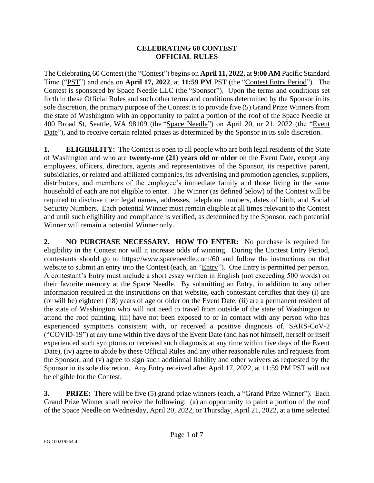## **CELEBRATING 60 CONTEST OFFICIAL RULES**

The Celebrating 60 Contest (the "Contest") begins on **April 11, 2022,** at **9:00 AM** Pacific Standard Time ("PST") and ends on **April 17, 2022**, at **11:59 PM** PST (the "Contest Entry Period"). The Contest is sponsored by Space Needle LLC (the "Sponsor"). Upon the terms and conditions set forth in these Official Rules and such other terms and conditions determined by the Sponsor in its sole discretion, the primary purpose of the Contest is to provide five (5) Grand Prize Winners from the state of Washington with an opportunity to paint a portion of the roof of the Space Needle at 400 Broad St, Seattle, WA 98109 (the "Space Needle") on April 20, or 21, 2022 (the "Event Date"), and to receive certain related prizes as determined by the Sponsor in its sole discretion.

**1. ELIGIBILITY:** The Contest is open to all people who are both legal residents of the State of Washington and who are **twenty-one (21) years old or older** on the Event Date, except any employees, officers, directors, agents and representatives of the Sponsor, its respective parent, subsidiaries, or related and affiliated companies, its advertising and promotion agencies, suppliers, distributors, and members of the employee's immediate family and those living in the same household of each are not eligible to enter. The Winner (as defined below) of the Contest will be required to disclose their legal names, addresses, telephone numbers, dates of birth, and Social Security Numbers. Each potential Winner must remain eligible at all times relevant to the Contest and until such eligibility and compliance is verified, as determined by the Sponsor, each potential Winner will remain a potential Winner only.

**2. NO PURCHASE NECESSARY. HOW TO ENTER:** No purchase is required for eligibility in the Contest nor will it increase odds of winning. During the Contest Entry Period, contestants should go to https://www.spaceneedle.com/60 and follow the instructions on that website to submit an entry into the Contest (each, an "Entry"). One Entry is permitted per person. A contestant's Entry must include a short essay written in English (not exceeding 500 words) on their favorite memory at the Space Needle. By submitting an Entry, in addition to any other information required in the instructions on that website, each contestant certifies that they (i) are (or will be) eighteen (18) years of age or older on the Event Date, (ii) are a permanent resident of the state of Washington who will not need to travel from outside of the state of Washington to attend the roof painting, (iii) have not been exposed to or in contact with any person who has experienced symptoms consistent with, or received a positive diagnosis of, SARS-CoV-2 ("COVID-19") at any time within five days of the Event Date (and has not himself, herself or itself experienced such symptoms or received such diagnosis at any time within five days of the Event Date), (iv) agree to abide by these Official Rules and any other reasonable rules and requests from the Sponsor, and (v) agree to sign such additional liability and other waivers as requested by the Sponsor in its sole discretion. Any Entry received after April 17, 2022, at 11:59 PM PST will not be eligible for the Contest.

**3. PRIZE:** There will be five (5) grand prize winners (each, a "Grand Prize Winner"). Each Grand Prize Winner shall receive the following: (a) an opportunity to paint a portion of the roof of the Space Needle on Wednesday, April 20, 2022, or Thursday, April 21, 2022, at a time selected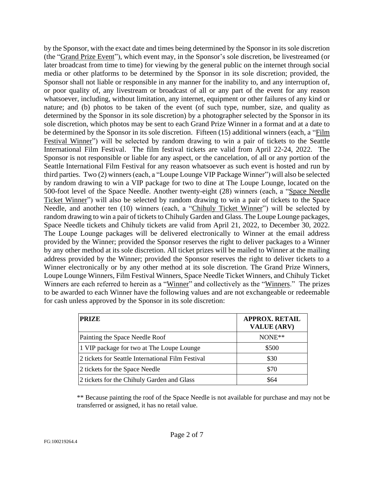by the Sponsor, with the exact date and times being determined by the Sponsor in its sole discretion (the "Grand Prize Event"), which event may, in the Sponsor's sole discretion, be livestreamed (or later broadcast from time to time) for viewing by the general public on the internet through social media or other platforms to be determined by the Sponsor in its sole discretion; provided, the Sponsor shall not liable or responsible in any manner for the inability to, and any interruption of, or poor quality of, any livestream or broadcast of all or any part of the event for any reason whatsoever, including, without limitation, any internet, equipment or other failures of any kind or nature; and (b) photos to be taken of the event (of such type, number, size, and quality as determined by the Sponsor in its sole discretion) by a photographer selected by the Sponsor in its sole discretion, which photos may be sent to each Grand Prize Winner in a format and at a date to be determined by the Sponsor in its sole discretion. Fifteen (15) additional winners (each, a "Film Festival Winner") will be selected by random drawing to win a pair of tickets to the Seattle International Film Festival. The film festival tickets are valid from April 22-24, 2022. The Sponsor is not responsible or liable for any aspect, or the cancelation, of all or any portion of the Seattle International Film Festival for any reason whatsoever as such event is hosted and run by third parties. Two (2) winners (each, a "Loupe Lounge VIP Package Winner") will also be selected by random drawing to win a VIP package for two to dine at The Loupe Lounge, located on the 500-foot level of the Space Needle. Another twenty-eight (28) winners (each, a "Space Needle Ticket Winner") will also be selected by random drawing to win a pair of tickets to the Space Needle, and another ten (10) winners (each, a "Chihuly Ticket Winner") will be selected by random drawing to win a pair of tickets to Chihuly Garden and Glass. The Loupe Lounge packages, Space Needle tickets and Chihuly tickets are valid from April 21, 2022, to December 30, 2022. The Loupe Lounge packages will be delivered electronically to Winner at the email address provided by the Winner; provided the Sponsor reserves the right to deliver packages to a Winner by any other method at its sole discretion. All ticket prizes will be mailed to Winner at the mailing address provided by the Winner; provided the Sponsor reserves the right to deliver tickets to a Winner electronically or by any other method at its sole discretion. The Grand Prize Winners, Loupe Lounge Winners, Film Festival Winners, Space Needle Ticket Winners, and Chihuly Ticket Winners are each referred to herein as a "Winner" and collectively as the "Winners." The prizes to be awarded to each Winner have the following values and are not exchangeable or redeemable for cash unless approved by the Sponsor in its sole discretion:

| <b>PRIZE</b>                                      | <b>APPROX. RETAIL</b><br><b>VALUE (ARV)</b> |
|---------------------------------------------------|---------------------------------------------|
| Painting the Space Needle Roof                    | $NONE**$                                    |
| 1 VIP package for two at The Loupe Lounge         | \$500                                       |
| 2 tickets for Seattle International Film Festival | \$30                                        |
| 2 tickets for the Space Needle                    | \$70                                        |
| 2 tickets for the Chihuly Garden and Glass        | \$64                                        |

\*\* Because painting the roof of the Space Needle is not available for purchase and may not be transferred or assigned, it has no retail value.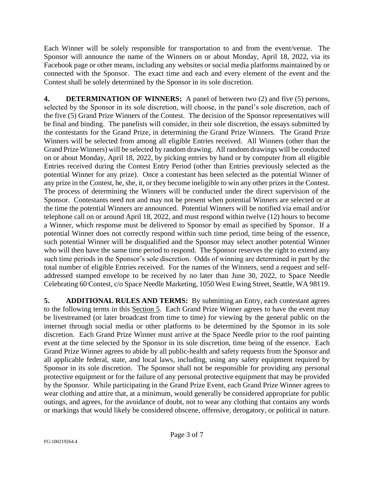Each Winner will be solely responsible for transportation to and from the event/venue. The Sponsor will announce the name of the Winners on or about Monday, April 18, 2022, via its Facebook page or other means, including any websites or social media platforms maintained by or connected with the Sponsor. The exact time and each and every element of the event and the Contest shall be solely determined by the Sponsor in its sole discretion.

**4. DETERMINATION OF WINNERS:** A panel of between two (2) and five (5) persons, selected by the Sponsor in its sole discretion, will choose, in the panel's sole discretion, each of the five (5) Grand Prize Winners of the Contest. The decision of the Sponsor representatives will be final and binding. The panelists will consider, in their sole discretion, the essays submitted by the contestants for the Grand Prize, in determining the Grand Prize Winners. The Grand Prize Winners will be selected from among all eligible Entries received. All Winners (other than the Grand Prize Winners) will be selected by random drawing. All random drawings will be conducted on or about Monday, April 18, 2022, by picking entries by hand or by computer from all eligible Entries received during the Contest Entry Period (other than Entries previously selected as the potential Winner for any prize). Once a contestant has been selected as the potential Winner of any prize in the Contest, he, she, it, or they become ineligible to win any other prizes in the Contest. The process of determining the Winners will be conducted under the direct supervision of the Sponsor. Contestants need not and may not be present when potential Winners are selected or at the time the potential Winners are announced. Potential Winners will be notified via email and/or telephone call on or around April 18, 2022, and must respond within twelve (12) hours to become a Winner, which response must be delivered to Sponsor by email as specified by Sponsor. If a potential Winner does not correctly respond within such time period, time being of the essence, such potential Winner will be disqualified and the Sponsor may select another potential Winner who will then have the same time period to respond. The Sponsor reserves the right to extend any such time periods in the Sponsor's sole discretion. Odds of winning are determined in part by the total number of eligible Entries received. For the names of the Winners, send a request and selfaddressed stamped envelope to be received by no later than June 30, 2022, to Space Needle Celebrating 60 Contest, c/o Space Needle Marketing, 1050 West Ewing Street, Seattle, WA 98119.

**5. ADDITIONAL RULES AND TERMS:** By submitting an Entry, each contestant agrees to the following terms in this Section 5. Each Grand Prize Winner agrees to have the event may be livestreamed (or later broadcast from time to time) for viewing by the general public on the internet through social media or other platforms to be determined by the Sponsor in its sole discretion. Each Grand Prize Winner must arrive at the Space Needle prior to the roof painting event at the time selected by the Sponsor in its sole discretion, time being of the essence. Each Grand Prize Winner agrees to abide by all public-health and safety requests from the Sponsor and all applicable federal, state, and local laws, including, using any safety equipment required by Sponsor in its sole discretion. The Sponsor shall not be responsible for providing any personal protective equipment or for the failure of any personal protective equipment that may be provided by the Sponsor. While participating in the Grand Prize Event, each Grand Prize Winner agrees to wear clothing and attire that, at a minimum, would generally be considered appropriate for public outings, and agrees, for the avoidance of doubt, not to wear any clothing that contains any words or markings that would likely be considered obscene, offensive, derogatory, or political in nature.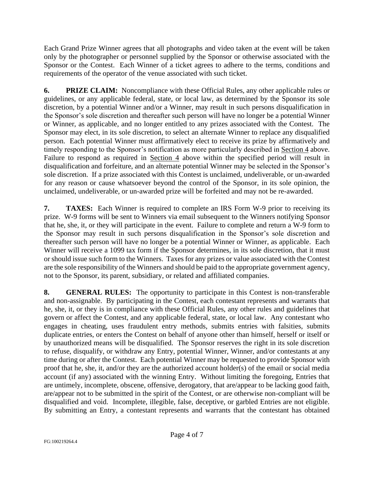Each Grand Prize Winner agrees that all photographs and video taken at the event will be taken only by the photographer or personnel supplied by the Sponsor or otherwise associated with the Sponsor or the Contest. Each Winner of a ticket agrees to adhere to the terms, conditions and requirements of the operator of the venue associated with such ticket.

**6. PRIZE CLAIM:** Noncompliance with these Official Rules, any other applicable rules or guidelines, or any applicable federal, state, or local law, as determined by the Sponsor its sole discretion, by a potential Winner and/or a Winner, may result in such persons disqualification in the Sponsor's sole discretion and thereafter such person will have no longer be a potential Winner or Winner, as applicable, and no longer entitled to any prizes associated with the Contest. The Sponsor may elect, in its sole discretion, to select an alternate Winner to replace any disqualified person. Each potential Winner must affirmatively elect to receive its prize by affirmatively and timely responding to the Sponsor's notification as more particularly described in Section 4 above. Failure to respond as required in Section 4 above within the specified period will result in disqualification and forfeiture, and an alternate potential Winner may be selected in the Sponsor's sole discretion. If a prize associated with this Contest is unclaimed, undeliverable, or un-awarded for any reason or cause whatsoever beyond the control of the Sponsor, in its sole opinion, the unclaimed, undeliverable, or un-awarded prize will be forfeited and may not be re-awarded.

**7.** TAXES: Each Winner is required to complete an IRS Form W-9 prior to receiving its prize. W-9 forms will be sent to Winners via email subsequent to the Winners notifying Sponsor that he, she, it, or they will participate in the event. Failure to complete and return a W-9 form to the Sponsor may result in such persons disqualification in the Sponsor's sole discretion and thereafter such person will have no longer be a potential Winner or Winner, as applicable. Each Winner will receive a 1099 tax form if the Sponsor determines, in its sole discretion, that it must or should issue such form to the Winners. Taxes for any prizes or value associated with the Contest are the sole responsibility of the Winners and should be paid to the appropriate government agency, not to the Sponsor, its parent, subsidiary, or related and affiliated companies.

**8. GENERAL RULES:** The opportunity to participate in this Contest is non-transferable and non-assignable. By participating in the Contest, each contestant represents and warrants that he, she, it, or they is in compliance with these Official Rules, any other rules and guidelines that govern or affect the Contest, and any applicable federal, state, or local law. Any contestant who engages in cheating, uses fraudulent entry methods, submits entries with falsities, submits duplicate entries, or enters the Contest on behalf of anyone other than himself, herself or itself or by unauthorized means will be disqualified. The Sponsor reserves the right in its sole discretion to refuse, disqualify, or withdraw any Entry, potential Winner, Winner, and/or contestants at any time during or after the Contest. Each potential Winner may be requested to provide Sponsor with proof that he, she, it, and/or they are the authorized account holder(s) of the email or social media account (if any) associated with the winning Entry. Without limiting the foregoing, Entries that are untimely, incomplete, obscene, offensive, derogatory, that are/appear to be lacking good faith, are/appear not to be submitted in the spirit of the Contest, or are otherwise non-compliant will be disqualified and void. Incomplete, illegible, false, deceptive, or garbled Entries are not eligible. By submitting an Entry, a contestant represents and warrants that the contestant has obtained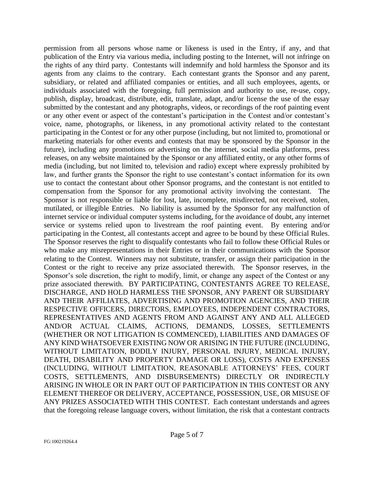permission from all persons whose name or likeness is used in the Entry, if any, and that publication of the Entry via various media, including posting to the Internet, will not infringe on the rights of any third party. Contestants will indemnify and hold harmless the Sponsor and its agents from any claims to the contrary. Each contestant grants the Sponsor and any parent, subsidiary, or related and affiliated companies or entities, and all such employees, agents, or individuals associated with the foregoing, full permission and authority to use, re-use, copy, publish, display, broadcast, distribute, edit, translate, adapt, and/or license the use of the essay submitted by the contestant and any photographs, videos, or recordings of the roof painting event or any other event or aspect of the contestant's participation in the Contest and/or contestant's voice, name, photographs, or likeness, in any promotional activity related to the contestant participating in the Contest or for any other purpose (including, but not limited to, promotional or marketing materials for other events and contests that may be sponsored by the Sponsor in the future), including any promotions or advertising on the internet, social media platforms, press releases, on any website maintained by the Sponsor or any affiliated entity, or any other forms of media (including, but not limited to, television and radio) except where expressly prohibited by law, and further grants the Sponsor the right to use contestant's contact information for its own use to contact the contestant about other Sponsor programs, and the contestant is not entitled to compensation from the Sponsor for any promotional activity involving the contestant. The Sponsor is not responsible or liable for lost, late, incomplete, misdirected, not received, stolen, mutilated, or illegible Entries. No liability is assumed by the Sponsor for any malfunction of internet service or individual computer systems including, for the avoidance of doubt, any internet service or systems relied upon to livestream the roof painting event. By entering and/or participating in the Contest, all contestants accept and agree to be bound by these Official Rules. The Sponsor reserves the right to disqualify contestants who fail to follow these Official Rules or who make any misrepresentations in their Entries or in their communications with the Sponsor relating to the Contest. Winners may not substitute, transfer, or assign their participation in the Contest or the right to receive any prize associated therewith. The Sponsor reserves, in the Sponsor's sole discretion, the right to modify, limit, or change any aspect of the Contest or any prize associated therewith. BY PARTICIPATING, CONTESTANTS AGREE TO RELEASE, DISCHARGE, AND HOLD HARMLESS THE SPONSOR, ANY PARENT OR SUBSIDIARY AND THEIR AFFILIATES, ADVERTISING AND PROMOTION AGENCIES, AND THEIR RESPECTIVE OFFICERS, DIRECTORS, EMPLOYEES, INDEPENDENT CONTRACTORS, REPRESENTATIVES AND AGENTS FROM AND AGAINST ANY AND ALL ALLEGED AND/OR ACTUAL CLAIMS, ACTIONS, DEMANDS, LOSSES, SETTLEMENTS (WHETHER OR NOT LITIGATION IS COMMENCED), LIABILITIES AND DAMAGES OF ANY KIND WHATSOEVER EXISTING NOW OR ARISING IN THE FUTURE (INCLUDING, WITHOUT LIMITATION, BODILY INJURY, PERSONAL INJURY, MEDICAL INJURY, DEATH, DISABILITY AND PROPERTY DAMAGE OR LOSS), COSTS AND EXPENSES (INCLUDING, WITHOUT LIMITATION, REASONABLE ATTORNEYS' FEES, COURT COSTS, SETTLEMENTS, AND DISBURSEMENTS) DIRECTLY OR INDIRECTLY ARISING IN WHOLE OR IN PART OUT OF PARTICIPATION IN THIS CONTEST OR ANY ELEMENT THEREOF OR DELIVERY, ACCEPTANCE, POSSESSION, USE, OR MISUSE OF ANY PRIZES ASSOCIATED WITH THIS CONTEST. Each contestant understands and agrees that the foregoing release language covers, without limitation, the risk that a contestant contracts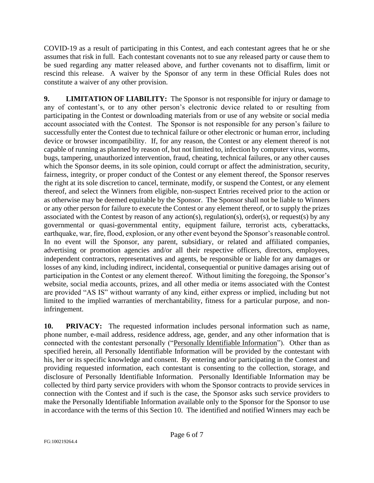COVID-19 as a result of participating in this Contest, and each contestant agrees that he or she assumes that risk in full. Each contestant covenants not to sue any released party or cause them to be sued regarding any matter released above, and further covenants not to disaffirm, limit or rescind this release. A waiver by the Sponsor of any term in these Official Rules does not constitute a waiver of any other provision.

**9. LIMITATION OF LIABILITY:** The Sponsor is not responsible for injury or damage to any of contestant's, or to any other person's electronic device related to or resulting from participating in the Contest or downloading materials from or use of any website or social media account associated with the Contest. The Sponsor is not responsible for any person's failure to successfully enter the Contest due to technical failure or other electronic or human error, including device or browser incompatibility. If, for any reason, the Contest or any element thereof is not capable of running as planned by reason of, but not limited to, infection by computer virus, worms, bugs, tampering, unauthorized intervention, fraud, cheating, technical failures, or any other causes which the Sponsor deems, in its sole opinion, could corrupt or affect the administration, security, fairness, integrity, or proper conduct of the Contest or any element thereof, the Sponsor reserves the right at its sole discretion to cancel, terminate, modify, or suspend the Contest, or any element thereof, and select the Winners from eligible, non-suspect Entries received prior to the action or as otherwise may be deemed equitable by the Sponsor. The Sponsor shall not be liable to Winners or any other person for failure to execute the Contest or any element thereof, or to supply the prizes associated with the Contest by reason of any action(s), regulation(s), order(s), or request(s) by any governmental or quasi-governmental entity, equipment failure, terrorist acts, cyberattacks, earthquake, war, fire, flood, explosion, or any other event beyond the Sponsor's reasonable control. In no event will the Sponsor, any parent, subsidiary, or related and affiliated companies, advertising or promotion agencies and/or all their respective officers, directors, employees, independent contractors, representatives and agents, be responsible or liable for any damages or losses of any kind, including indirect, incidental, consequential or punitive damages arising out of participation in the Contest or any element thereof. Without limiting the foregoing, the Sponsor's website, social media accounts, prizes, and all other media or items associated with the Contest are provided "AS IS" without warranty of any kind, either express or implied, including but not limited to the implied warranties of merchantability, fitness for a particular purpose, and noninfringement.

**10. PRIVACY:** The requested information includes personal information such as name, phone number, e-mail address, residence address, age, gender, and any other information that is connected with the contestant personally ("Personally Identifiable Information"). Other than as specified herein, all Personally Identifiable Information will be provided by the contestant with his, her or its specific knowledge and consent. By entering and/or participating in the Contest and providing requested information, each contestant is consenting to the collection, storage, and disclosure of Personally Identifiable Information. Personally Identifiable Information may be collected by third party service providers with whom the Sponsor contracts to provide services in connection with the Contest and if such is the case, the Sponsor asks such service providers to make the Personally Identifiable Information available only to the Sponsor for the Sponsor to use in accordance with the terms of this Section 10. The identified and notified Winners may each be